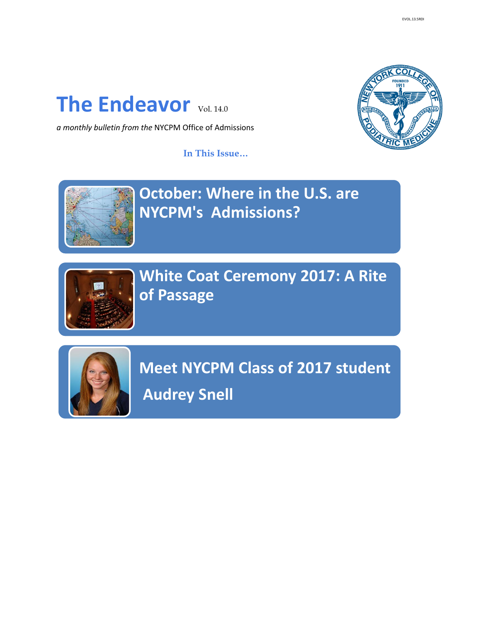# **The Endeavor** Vol. 14.0

*a monthly bulletin from the* NYCPM Office of Admissions

**In This Issue…**





**October: Where in the U.S. are NYCPM's Admissions?**



**White Coat Ceremony 2017: A Rite of Passage** 



**[Meet NYCPM Class of 2017 student](file://nycpmdata/studaff/Admissions/e-newletters/Prospective Students/Endeavor_Sept/Aug 13 Endeavor Photos)  Audrey Snell**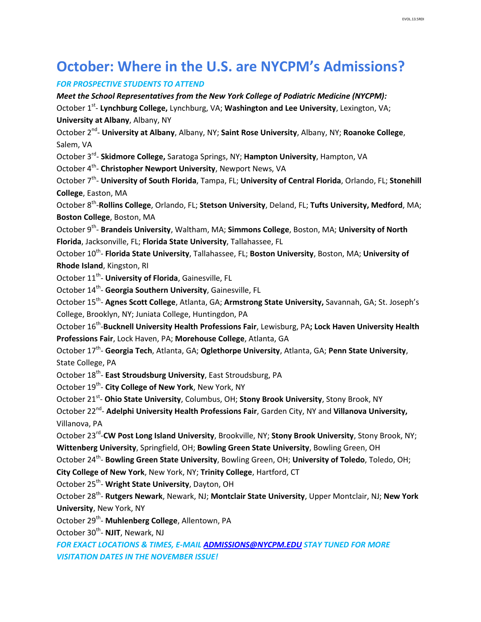## **October: Where in the U.S. are NYCPM's Admissions?**

#### *FOR PROSPECTIVE STUDENTS TO ATTEND*

*Meet the School Representatives from the New York College of Podiatric Medicine (NYCPM):* October 1<sup>st</sup>- Lynchburg College, Lynchburg, VA; Washington and Lee University, Lexington, VA; **University at Albany**, Albany, NY October 2nd - **University at Albany**, Albany, NY; **Saint Rose University**, Albany, NY; **Roanoke College**, Salem, VA October 3rd - **Skidmore College,** Saratoga Springs, NY; **Hampton University**, Hampton, VA October 4<sup>th</sup>- **Christopher Newport University**, Newport News, VA October 7<sup>th</sup>- **University of South Florida**, Tampa, FL; **University of Central Florida**, Orlando, FL; Stonehill **College**, Easton, MA October 8<sup>th</sup>-Rollins College, Orlando, FL; Stetson University, Deland, FL; Tufts University, Medford, MA; **Boston College**, Boston, MA October 9<sup>th</sup>- **Brandeis University**, Waltham, MA; Simmons College, Boston, MA; University of North **Florida**, Jacksonville, FL; **Florida State University**, Tallahassee, FL October 10<sup>th</sup>- **Florida State University**, Tallahassee, FL; **Boston University**, Boston, MA; University of **Rhode Island**, Kingston, RI October 11<sup>th</sup>- **University of Florida**, Gainesville, FL October 14<sup>th</sup>- **Georgia Southern University**, Gainesville, FL October 15<sup>th</sup>- **Agnes Scott College**, Atlanta, GA; **Armstrong State University,** Savannah, GA; St. Joseph's College, Brooklyn, NY; Juniata College, Huntingdon, PA October 16<sup>th</sup>-Bucknell University Health Professions Fair, Lewisburg, PA**; Lock Haven University Health Professions Fair**, Lock Haven, PA; **Morehouse College**, Atlanta, GA October 17<sup>th</sup>- Georgia Tech, Atlanta, GA; Oglethorpe University, Atlanta, GA; Penn State University, State College, PA October 18<sup>th</sup>- **East Stroudsburg University**, East Stroudsburg, PA October 19<sup>th</sup>- City College of New York, New York, NY October 21<sup>st</sup>- **Ohio State University**, Columbus, OH; Stony Brook University, Stony Brook, NY October 22<sup>nd</sup>- **Adelphi University Health Professions Fair**, Garden City, NY and **Villanova University,** Villanova, PA October 23<sup>rd</sup>-CW Post Long Island University, Brookville, NY; Stony Brook University, Stony Brook, NY; **Wittenberg University**, Springfield, OH; **Bowling Green State University**, Bowling Green, OH October 24<sup>th</sup>- **Bowling Green State University**, Bowling Green, OH; University of Toledo, Toledo, OH; **City College of New York**, New York, NY; **Trinity College**, Hartford, CT October 25<sup>th</sup>- **Wright State University**, Dayton, OH October 28<sup>th</sup>- **Rutgers Newark**, Newark, NJ; **Montclair State University**, Upper Montclair, NJ; New York **University**, New York, NY October 29<sup>th</sup>- **Muhlenberg College**, Allentown, PA October 30<sup>th</sup>- **NJIT**, Newark, NJ *FOR EXACT LOCATIONS & TIMES, E-MAIL [ADMISSIONS@NYCPM.EDU](mailto:admissions@nycpm.edu) STAY TUNED FOR MORE VISITATION DATES IN THE NOVEMBER ISSUE!*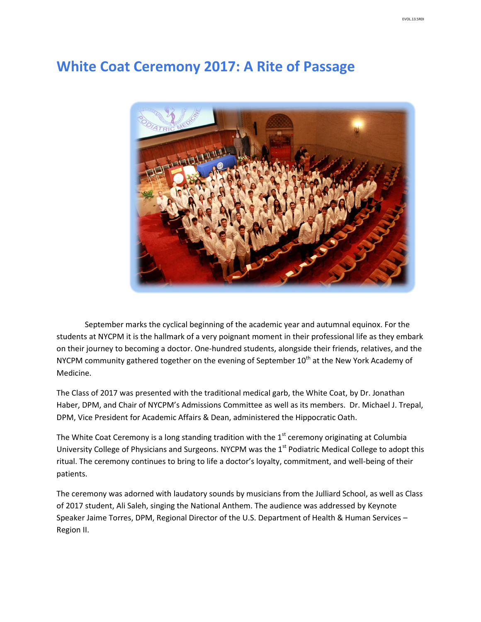### **White Coat Ceremony 2017: A Rite of Passage**



September marks the cyclical beginning of the academic year and autumnal equinox. For the students at NYCPM it is the hallmark of a very poignant moment in their professional life as they embark on their journey to becoming a doctor. One-hundred students, alongside their friends, relatives, and the NYCPM community gathered together on the evening of September  $10<sup>th</sup>$  at the New York Academy of Medicine.

The Class of 2017 was presented with the traditional medical garb, the White Coat, by Dr. Jonathan Haber, DPM, and Chair of NYCPM's Admissions Committee as well as its members. Dr. Michael J. Trepal, DPM, Vice President for Academic Affairs & Dean, administered the Hippocratic Oath.

The White Coat Ceremony is a long standing tradition with the  $1<sup>st</sup>$  ceremony originating at Columbia University College of Physicians and Surgeons. NYCPM was the 1<sup>st</sup> Podiatric Medical College to adopt this ritual. The ceremony continues to bring to life a doctor's loyalty, commitment, and well-being of their patients.

The ceremony was adorned with laudatory sounds by musicians from the Julliard School, as well as Class of 2017 student, Ali Saleh, singing the National Anthem. The audience was addressed by Keynote Speaker Jaime Torres, DPM, Regional Director of the U.S. Department of Health & Human Services – Region II.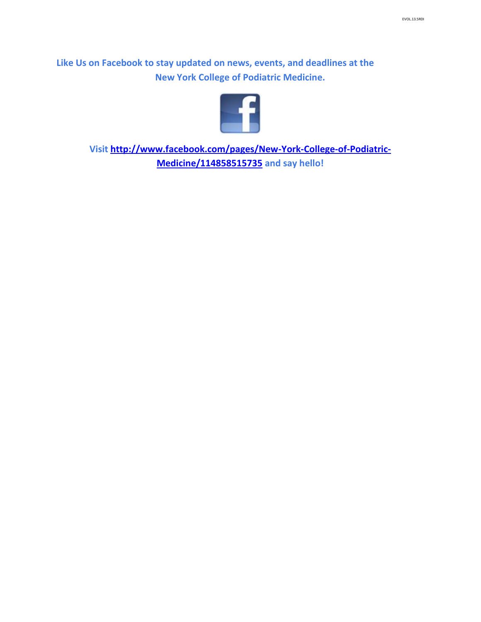**Like Us on Facebook to stay updated on news, events, and deadlines at the New York College of Podiatric Medicine.**



**Visit [http://www.facebook.com/pages/New-York-College-of-Podiatric-](http://www.facebook.com/pages/New-York-College-of-Podiatric-Medicine/114858515735)[Medicine/114858515735](http://www.facebook.com/pages/New-York-College-of-Podiatric-Medicine/114858515735) and say hello!**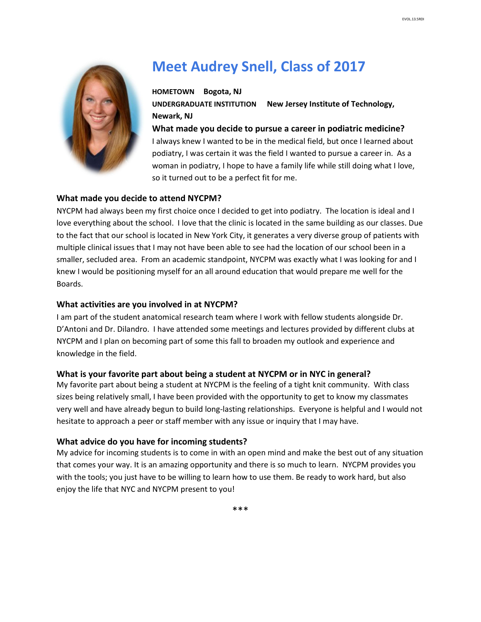

# **Meet Audrey Snell, Class of 2017**

**HOMETOWN Bogota, NJ UNDERGRADUATE INSTITUTION New Jersey Institute of Technology, Newark, NJ**

**What made you decide to pursue a career in podiatric medicine?** I always knew I wanted to be in the medical field, but once I learned about podiatry, I was certain it was the field I wanted to pursue a career in. As a woman in podiatry, I hope to have a family life while still doing what I love, so it turned out to be a perfect fit for me.

#### **What made you decide to attend NYCPM?**

NYCPM had always been my first choice once I decided to get into podiatry. The location is ideal and I love everything about the school. I love that the clinic is located in the same building as our classes. Due to the fact that our school is located in New York City, it generates a very diverse group of patients with multiple clinical issues that I may not have been able to see had the location of our school been in a smaller, secluded area. From an academic standpoint, NYCPM was exactly what I was looking for and I knew I would be positioning myself for an all around education that would prepare me well for the Boards.

#### **What activities are you involved in at NYCPM?**

I am part of the student anatomical research team where I work with fellow students alongside Dr. D'Antoni and Dr. Dilandro. I have attended some meetings and lectures provided by different clubs at NYCPM and I plan on becoming part of some this fall to broaden my outlook and experience and knowledge in the field.

#### **What is your favorite part about being a student at NYCPM or in NYC in general?**

My favorite part about being a student at NYCPM is the feeling of a tight knit community. With class sizes being relatively small, I have been provided with the opportunity to get to know my classmates very well and have already begun to build long-lasting relationships. Everyone is helpful and I would not hesitate to approach a peer or staff member with any issue or inquiry that I may have.

#### **What advice do you have for incoming students?**

My advice for incoming students is to come in with an open mind and make the best out of any situation that comes your way. It is an amazing opportunity and there is so much to learn. NYCPM provides you with the tools; you just have to be willing to learn how to use them. Be ready to work hard, but also enjoy the life that NYC and NYCPM present to you!

\*\*\*